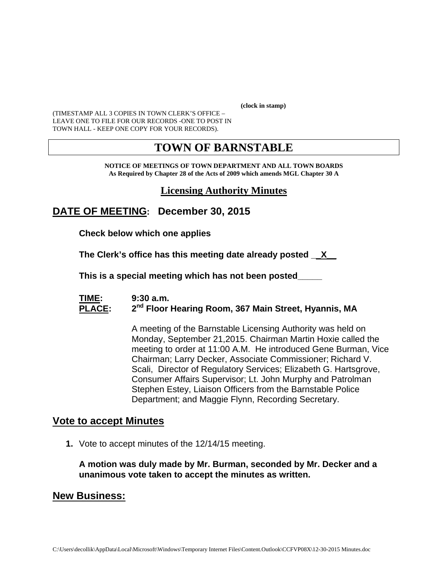**(clock in stamp)** 

(TIMESTAMP ALL 3 COPIES IN TOWN CLERK'S OFFICE – LEAVE ONE TO FILE FOR OUR RECORDS -ONE TO POST IN TOWN HALL - KEEP ONE COPY FOR YOUR RECORDS).

## **TOWN OF BARNSTABLE**

**NOTICE OF MEETINGS OF TOWN DEPARTMENT AND ALL TOWN BOARDS As Required by Chapter 28 of the Acts of 2009 which amends MGL Chapter 30 A** 

## **Licensing Authority Minutes**

**DATE OF MEETING: December 30, 2015** 

**Check below which one applies** 

**The Clerk's office has this meeting date already posted \_\_X\_\_**

 **This is a special meeting which has not been posted\_\_\_\_\_** 

#### **TIME: 9:30 a.m. PLACE: 2nd Floor Hearing Room, 367 Main Street, Hyannis, MA**

A meeting of the Barnstable Licensing Authority was held on Monday, September 21,2015. Chairman Martin Hoxie called the meeting to order at 11:00 A.M. He introduced Gene Burman, Vice Chairman; Larry Decker, Associate Commissioner; Richard V. Scali, Director of Regulatory Services; Elizabeth G. Hartsgrove, Consumer Affairs Supervisor; Lt. John Murphy and Patrolman Stephen Estey, Liaison Officers from the Barnstable Police Department; and Maggie Flynn, Recording Secretary.

#### **Vote to accept Minutes**

**1.** Vote to accept minutes of the 12/14/15 meeting.

**A motion was duly made by Mr. Burman, seconded by Mr. Decker and a unanimous vote taken to accept the minutes as written.** 

#### **New Business:**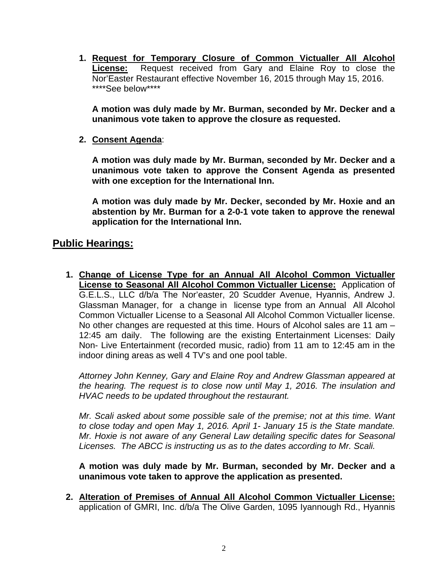**1. Request for Temporary Closure of Common Victualler All Alcohol License:** Request received from Gary and Elaine Roy to close the Nor'Easter Restaurant effective November 16, 2015 through May 15, 2016. \*\*\*\*See below\*\*\*\*

**A motion was duly made by Mr. Burman, seconded by Mr. Decker and a unanimous vote taken to approve the closure as requested.** 

**2. Consent Agenda**:

**A motion was duly made by Mr. Burman, seconded by Mr. Decker and a unanimous vote taken to approve the Consent Agenda as presented with one exception for the International Inn.** 

**A motion was duly made by Mr. Decker, seconded by Mr. Hoxie and an abstention by Mr. Burman for a 2-0-1 vote taken to approve the renewal application for the International Inn.** 

## **Public Hearings:**

**1. Change of License Type for an Annual All Alcohol Common Victualler License to Seasonal All Alcohol Common Victualler License:** Application of G.E.L.S., LLC d/b/a The Nor'easter, 20 Scudder Avenue, Hyannis, Andrew J. Glassman Manager, for a change in license type from an Annual All Alcohol Common Victualler License to a Seasonal All Alcohol Common Victualler license. No other changes are requested at this time. Hours of Alcohol sales are 11 am – 12:45 am daily. The following are the existing Entertainment Licenses: Daily Non- Live Entertainment (recorded music, radio) from 11 am to 12:45 am in the indoor dining areas as well 4 TV's and one pool table.

*Attorney John Kenney, Gary and Elaine Roy and Andrew Glassman appeared at the hearing. The request is to close now until May 1, 2016. The insulation and HVAC needs to be updated throughout the restaurant.* 

*Mr. Scali asked about some possible sale of the premise; not at this time. Want to close today and open May 1, 2016. April 1- January 15 is the State mandate. Mr. Hoxie is not aware of any General Law detailing specific dates for Seasonal Licenses. The ABCC is instructing us as to the dates according to Mr. Scali.* 

**A motion was duly made by Mr. Burman, seconded by Mr. Decker and a unanimous vote taken to approve the application as presented.** 

**2. Alteration of Premises of Annual All Alcohol Common Victualler License:** application of GMRI, Inc. d/b/a The Olive Garden, 1095 Iyannough Rd., Hyannis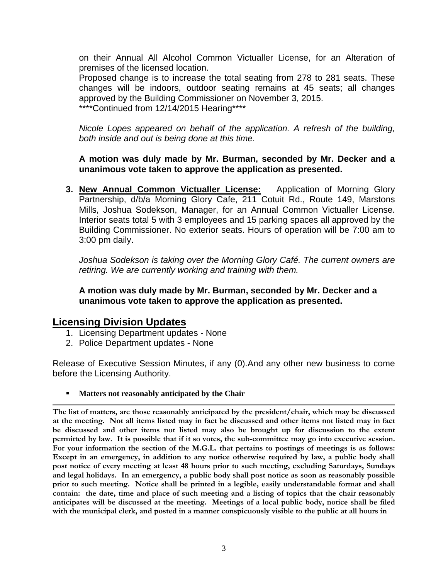on their Annual All Alcohol Common Victualler License, for an Alteration of premises of the licensed location.

Proposed change is to increase the total seating from 278 to 281 seats. These changes will be indoors, outdoor seating remains at 45 seats; all changes approved by the Building Commissioner on November 3, 2015. \*\*\*\*Continued from 12/14/2015 Hearing\*\*\*\*

*Nicole Lopes appeared on behalf of the application. A refresh of the building, both inside and out is being done at this time.*

#### **A motion was duly made by Mr. Burman, seconded by Mr. Decker and a unanimous vote taken to approve the application as presented.**

**3. New Annual Common Victualler License:** Application of Morning Glory Partnership, d/b/a Morning Glory Cafe, 211 Cotuit Rd., Route 149, Marstons Mills, Joshua Sodekson, Manager, for an Annual Common Victualler License. Interior seats total 5 with 3 employees and 15 parking spaces all approved by the Building Commissioner. No exterior seats. Hours of operation will be 7:00 am to 3:00 pm daily.

*Joshua Sodekson is taking over the Morning Glory Café. The current owners are retiring. We are currently working and training with them.* 

**A motion was duly made by Mr. Burman, seconded by Mr. Decker and a unanimous vote taken to approve the application as presented.** 

#### **Licensing Division Updates**

- 1. Licensing Department updates None
- 2. Police Department updates None

Release of Executive Session Minutes, if any (0).And any other new business to come before the Licensing Authority.

#### **Matters not reasonably anticipated by the Chair**

**The list of matters, are those reasonably anticipated by the president/chair, which may be discussed at the meeting. Not all items listed may in fact be discussed and other items not listed may in fact be discussed and other items not listed may also be brought up for discussion to the extent permitted by law. It is possible that if it so votes, the sub-committee may go into executive session. For your information the section of the M.G.L. that pertains to postings of meetings is as follows: Except in an emergency, in addition to any notice otherwise required by law, a public body shall post notice of every meeting at least 48 hours prior to such meeting, excluding Saturdays, Sundays and legal holidays. In an emergency, a public body shall post notice as soon as reasonably possible prior to such meeting. Notice shall be printed in a legible, easily understandable format and shall contain: the date, time and place of such meeting and a listing of topics that the chair reasonably anticipates will be discussed at the meeting. Meetings of a local public body, notice shall be filed with the municipal clerk, and posted in a manner conspicuously visible to the public at all hours in**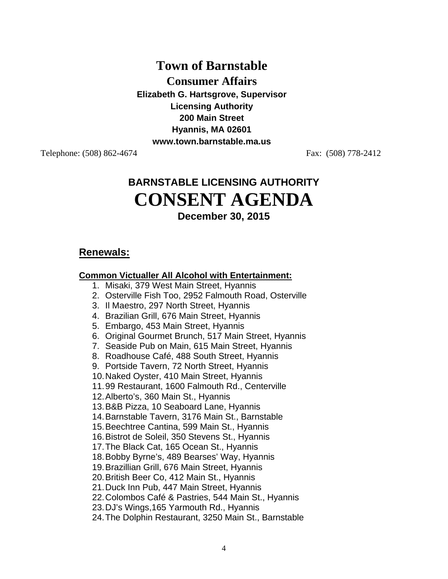# **Town of Barnstable**

**Consumer Affairs** 

**Elizabeth G. Hartsgrove, Supervisor Licensing Authority 200 Main Street Hyannis, MA 02601 www.town.barnstable.ma.us** 

Telephone: (508) 862-4674 Fax: (508) 778-2412

# **BARNSTABLE LICENSING AUTHORITY CONSENT AGENDA December 30, 2015**

## **Renewals:**

#### **Common Victualler All Alcohol with Entertainment:**

- 1. Misaki, 379 West Main Street, Hyannis
- 2. Osterville Fish Too, 2952 Falmouth Road, Osterville
- 3. Il Maestro, 297 North Street, Hyannis
- 4. Brazilian Grill, 676 Main Street, Hyannis
- 5. Embargo, 453 Main Street, Hyannis
- 6. Original Gourmet Brunch, 517 Main Street, Hyannis
- 7. Seaside Pub on Main, 615 Main Street, Hyannis
- 8. Roadhouse Café, 488 South Street, Hyannis
- 9. Portside Tavern, 72 North Street, Hyannis
- 10. Naked Oyster, 410 Main Street, Hyannis

11. 99 Restaurant, 1600 Falmouth Rd., Centerville

- 12. Alberto's, 360 Main St., Hyannis
- 13. B&B Pizza, 10 Seaboard Lane, Hyannis
- 14. Barnstable Tavern, 3176 Main St., Barnstable
- 15. Beechtree Cantina, 599 Main St., Hyannis
- 16. Bistrot de Soleil, 350 Stevens St., Hyannis
- 17. The Black Cat, 165 Ocean St., Hyannis
- 18. Bobby Byrne's, 489 Bearses' Way, Hyannis
- 19. Brazillian Grill, 676 Main Street, Hyannis
- 20. British Beer Co, 412 Main St., Hyannis
- 21. Duck Inn Pub, 447 Main Street, Hyannis
- 22. Colombos Café & Pastries, 544 Main St., Hyannis
- 23. DJ's Wings,165 Yarmouth Rd., Hyannis
- 24. The Dolphin Restaurant, 3250 Main St., Barnstable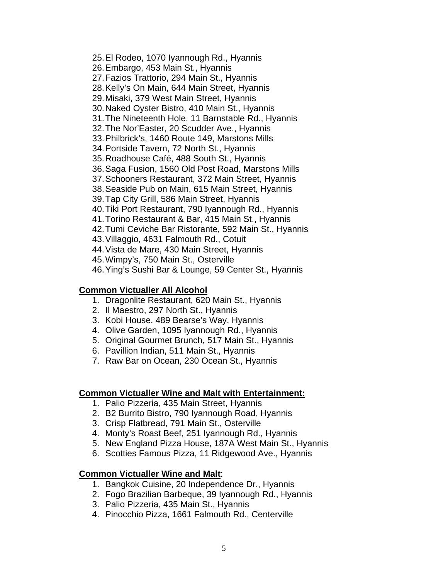25. El Rodeo, 1070 Iyannough Rd., Hyannis 26. Embargo, 453 Main St., Hyannis 27. Fazios Trattorio, 294 Main St., Hyannis 28. Kelly's On Main, 644 Main Street, Hyannis 29. Misaki, 379 West Main Street, Hyannis 30. Naked Oyster Bistro, 410 Main St., Hyannis 31. The Nineteenth Hole, 11 Barnstable Rd., Hyannis 32. The Nor'Easter, 20 Scudder Ave., Hyannis 33. Philbrick's, 1460 Route 149, Marstons Mills 34. Portside Tavern, 72 North St., Hyannis 35. Roadhouse Café, 488 South St., Hyannis 36. Saga Fusion, 1560 Old Post Road, Marstons Mills 37. Schooners Restaurant, 372 Main Street, Hyannis 38. Seaside Pub on Main, 615 Main Street, Hyannis 39. Tap City Grill, 586 Main Street, Hyannis 40. Tiki Port Restaurant, 790 Iyannough Rd., Hyannis 41. Torino Restaurant & Bar, 415 Main St., Hyannis 42. Tumi Ceviche Bar Ristorante, 592 Main St., Hyannis 43. Villaggio, 4631 Falmouth Rd., Cotuit 44. Vista de Mare, 430 Main Street, Hyannis 45. Wimpy's, 750 Main St., Osterville 46. Ying's Sushi Bar & Lounge, 59 Center St., Hyannis

#### **Common Victualler All Alcohol**

- 1. Dragonlite Restaurant, 620 Main St., Hyannis
- 2. Il Maestro, 297 North St., Hyannis
- 3. Kobi House, 489 Bearse's Way, Hyannis
- 4. Olive Garden, 1095 Iyannough Rd., Hyannis
- 5. Original Gourmet Brunch, 517 Main St., Hyannis
- 6. Pavillion Indian, 511 Main St., Hyannis
- 7. Raw Bar on Ocean, 230 Ocean St., Hyannis

#### **Common Victualler Wine and Malt with Entertainment:**

- 1. Palio Pizzeria, 435 Main Street, Hyannis
- 2. B2 Burrito Bistro, 790 Iyannough Road, Hyannis
- 3. Crisp Flatbread, 791 Main St., Osterville
- 4. Monty's Roast Beef, 251 Iyannough Rd., Hyannis
- 5. New England Pizza House, 187A West Main St., Hyannis
- 6. Scotties Famous Pizza, 11 Ridgewood Ave., Hyannis

#### **Common Victualler Wine and Malt**:

- 1. Bangkok Cuisine, 20 Independence Dr., Hyannis
- 2. Fogo Brazilian Barbeque, 39 Iyannough Rd., Hyannis
- 3. Palio Pizzeria, 435 Main St., Hyannis
- 4. Pinocchio Pizza, 1661 Falmouth Rd., Centerville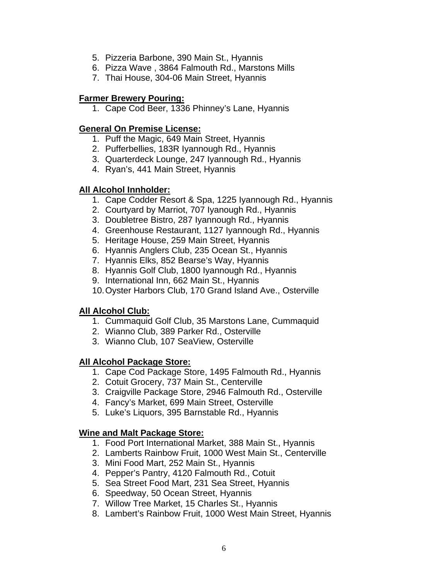- 5. Pizzeria Barbone, 390 Main St., Hyannis
- 6. Pizza Wave , 3864 Falmouth Rd., Marstons Mills
- 7. Thai House, 304-06 Main Street, Hyannis

#### **Farmer Brewery Pouring:**

1. Cape Cod Beer, 1336 Phinney's Lane, Hyannis

#### **General On Premise License:**

- 1. Puff the Magic, 649 Main Street, Hyannis
- 2. Pufferbellies, 183R Iyannough Rd., Hyannis
- 3. Quarterdeck Lounge, 247 Iyannough Rd., Hyannis
- 4. Ryan's, 441 Main Street, Hyannis

## **All Alcohol Innholder:**

- 1. Cape Codder Resort & Spa, 1225 Iyannough Rd., Hyannis
- 2. Courtyard by Marriot, 707 Iyanough Rd., Hyannis
- 3. Doubletree Bistro, 287 Iyannough Rd., Hyannis
- 4. Greenhouse Restaurant, 1127 Iyannough Rd., Hyannis
- 5. Heritage House, 259 Main Street, Hyannis
- 6. Hyannis Anglers Club, 235 Ocean St., Hyannis
- 7. Hyannis Elks, 852 Bearse's Way, Hyannis
- 8. Hyannis Golf Club, 1800 Iyannough Rd., Hyannis
- 9. International Inn, 662 Main St., Hyannis
- 10. Oyster Harbors Club, 170 Grand Island Ave., Osterville

#### **All Alcohol Club:**

- 1. Cummaquid Golf Club, 35 Marstons Lane, Cummaquid
- 2. Wianno Club, 389 Parker Rd., Osterville
- 3. Wianno Club, 107 SeaView, Osterville

#### **All Alcohol Package Store:**

- 1. Cape Cod Package Store, 1495 Falmouth Rd., Hyannis
- 2. Cotuit Grocery, 737 Main St., Centerville
- 3. Craigville Package Store, 2946 Falmouth Rd., Osterville
- 4. Fancy's Market, 699 Main Street, Osterville
- 5. Luke's Liquors, 395 Barnstable Rd., Hyannis

#### **Wine and Malt Package Store:**

- 1. Food Port International Market, 388 Main St., Hyannis
- 2. Lamberts Rainbow Fruit, 1000 West Main St., Centerville
- 3. Mini Food Mart, 252 Main St., Hyannis
- 4. Pepper's Pantry, 4120 Falmouth Rd., Cotuit
- 5. Sea Street Food Mart, 231 Sea Street, Hyannis
- 6. Speedway, 50 Ocean Street, Hyannis
- 7. Willow Tree Market, 15 Charles St., Hyannis
- 8. Lambert's Rainbow Fruit, 1000 West Main Street, Hyannis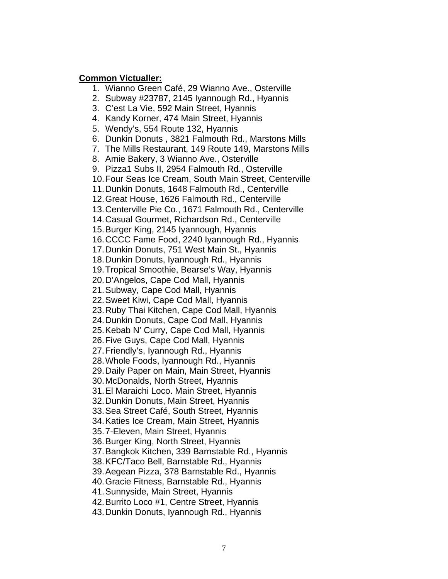#### **Common Victualler:**

1. Wianno Green Café, 29 Wianno Ave., Osterville

- 2. Subway #23787, 2145 Iyannough Rd., Hyannis
- 3. C'est La Vie, 592 Main Street, Hyannis
- 4. Kandy Korner, 474 Main Street, Hyannis
- 5. Wendy's, 554 Route 132, Hyannis
- 6. Dunkin Donuts , 3821 Falmouth Rd., Marstons Mills
- 7. The Mills Restaurant, 149 Route 149, Marstons Mills
- 8. Amie Bakery, 3 Wianno Ave., Osterville
- 9. Pizza1 Subs II, 2954 Falmouth Rd., Osterville
- 10. Four Seas Ice Cream, South Main Street, Centerville
- 11. Dunkin Donuts, 1648 Falmouth Rd., Centerville
- 12. Great House, 1626 Falmouth Rd., Centerville
- 13. Centerville Pie Co., 1671 Falmouth Rd., Centerville
- 14. Casual Gourmet, Richardson Rd., Centerville
- 15. Burger King, 2145 Iyannough, Hyannis
- 16. CCCC Fame Food, 2240 Iyannough Rd., Hyannis
- 17. Dunkin Donuts, 751 West Main St., Hyannis
- 18. Dunkin Donuts, Iyannough Rd., Hyannis
- 19. Tropical Smoothie, Bearse's Way, Hyannis
- 20. D'Angelos, Cape Cod Mall, Hyannis
- 21. Subway, Cape Cod Mall, Hyannis
- 22. Sweet Kiwi, Cape Cod Mall, Hyannis
- 23. Ruby Thai Kitchen, Cape Cod Mall, Hyannis
- 24. Dunkin Donuts, Cape Cod Mall, Hyannis
- 25. Kebab N' Curry, Cape Cod Mall, Hyannis
- 26. Five Guys, Cape Cod Mall, Hyannis
- 27. Friendly's, Iyannough Rd., Hyannis
- 28. Whole Foods, Iyannough Rd., Hyannis
- 29. Daily Paper on Main, Main Street, Hyannis
- 30. McDonalds, North Street, Hyannis
- 31. El Maraichi Loco. Main Street, Hyannis
- 32. Dunkin Donuts, Main Street, Hyannis
- 33. Sea Street Café, South Street, Hyannis
- 34. Katies Ice Cream, Main Street, Hyannis
- 35. 7-Eleven, Main Street, Hyannis
- 36. Burger King, North Street, Hyannis
- 37. Bangkok Kitchen, 339 Barnstable Rd., Hyannis
- 38. KFC/Taco Bell, Barnstable Rd., Hyannis
- 39. Aegean Pizza, 378 Barnstable Rd., Hyannis
- 40. Gracie Fitness, Barnstable Rd., Hyannis
- 41. Sunnyside, Main Street, Hyannis
- 42. Burrito Loco #1, Centre Street, Hyannis
- 43. Dunkin Donuts, Iyannough Rd., Hyannis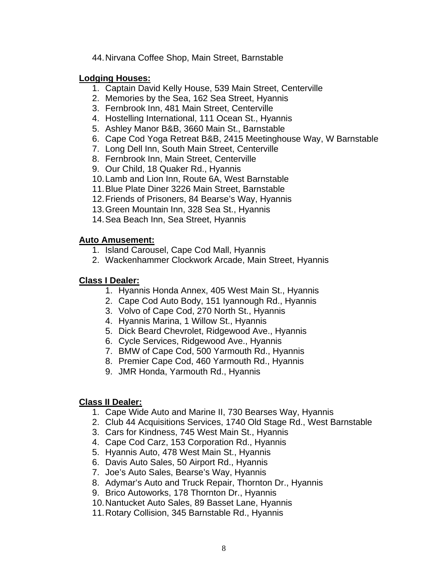44. Nirvana Coffee Shop, Main Street, Barnstable

#### **Lodging Houses:**

- 1. Captain David Kelly House, 539 Main Street, Centerville
- 2. Memories by the Sea, 162 Sea Street, Hyannis
- 3. Fernbrook Inn, 481 Main Street, Centerville
- 4. Hostelling International, 111 Ocean St., Hyannis
- 5. Ashley Manor B&B, 3660 Main St., Barnstable
- 6. Cape Cod Yoga Retreat B&B, 2415 Meetinghouse Way, W Barnstable
- 7. Long Dell Inn, South Main Street, Centerville
- 8. Fernbrook Inn, Main Street, Centerville
- 9. Our Child, 18 Quaker Rd., Hyannis
- 10. Lamb and Lion Inn, Route 6A, West Barnstable
- 11. Blue Plate Diner 3226 Main Street, Barnstable
- 12. Friends of Prisoners, 84 Bearse's Way, Hyannis
- 13. Green Mountain Inn, 328 Sea St., Hyannis
- 14. Sea Beach Inn, Sea Street, Hyannis

#### **Auto Amusement:**

- 1. Island Carousel, Cape Cod Mall, Hyannis
- 2. Wackenhammer Clockwork Arcade, Main Street, Hyannis

#### **Class I Dealer:**

- 1. Hyannis Honda Annex, 405 West Main St., Hyannis
- 2. Cape Cod Auto Body, 151 Iyannough Rd., Hyannis
- 3. Volvo of Cape Cod, 270 North St., Hyannis
- 4. Hyannis Marina, 1 Willow St., Hyannis
- 5. Dick Beard Chevrolet, Ridgewood Ave., Hyannis
- 6. Cycle Services, Ridgewood Ave., Hyannis
- 7. BMW of Cape Cod, 500 Yarmouth Rd., Hyannis
- 8. Premier Cape Cod, 460 Yarmouth Rd., Hyannis
- 9. JMR Honda, Yarmouth Rd., Hyannis

#### **Class II Dealer:**

- 1. Cape Wide Auto and Marine II, 730 Bearses Way, Hyannis
- 2. Club 44 Acquisitions Services, 1740 Old Stage Rd., West Barnstable
- 3. Cars for Kindness, 745 West Main St., Hyannis
- 4. Cape Cod Carz, 153 Corporation Rd., Hyannis
- 5. Hyannis Auto, 478 West Main St., Hyannis
- 6. Davis Auto Sales, 50 Airport Rd., Hyannis
- 7. Joe's Auto Sales, Bearse's Way, Hyannis
- 8. Adymar's Auto and Truck Repair, Thornton Dr., Hyannis
- 9. Brico Autoworks, 178 Thornton Dr., Hyannis
- 10. Nantucket Auto Sales, 89 Basset Lane, Hyannis
- 11. Rotary Collision, 345 Barnstable Rd., Hyannis